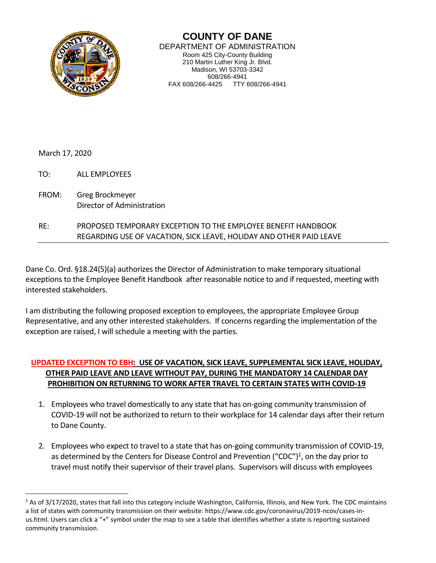

**COUNTY OF DANE** DEPARTMENT OF ADMINISTRATION Room 425 City-County Building 210 Martin Luther King Jr. Blvd. Madison, WI 53703-3342 608/266-4941 FAX 608/266-4425 TTY 608/266-4941

March 17, 2020

 $\overline{a}$ 

TO: ALL EMPLOYEES

FROM: Greg Brockmeyer Director of Administration

## RE: PROPOSED TEMPORARY EXCEPTION TO THE EMPLOYEE BENEFIT HANDBOOK REGARDING USE OF VACATION, SICK LEAVE, HOLIDAY AND OTHER PAID LEAVE

Dane Co. Ord. §18.24(5)(a) authorizes the Director of Administration to make temporary situational exceptions to the Employee Benefit Handbook after reasonable notice to and if requested, meeting with interested stakeholders.

I am distributing the following proposed exception to employees, the appropriate Employee Group Representative, and any other interested stakeholders. If concerns regarding the implementation of the exception are raised, I will schedule a meeting with the parties.

## **UPDATED EXCEPTION TO EBH: USE OF VACATION, SICK LEAVE, SUPPLEMENTAL SICK LEAVE, HOLIDAY, OTHER PAID LEAVE AND LEAVE WITHOUT PAY, DURING THE MANDATORY 14 CALENDAR DAY PROHIBITION ON RETURNING TO WORK AFTER TRAVEL TO CERTAIN STATES WITH COVID-19**

- 1. Employees who travel domestically to any state that has on-going community transmission of COVID-19 will not be authorized to return to their workplace for 14 calendar days after their return to Dane County.
- 2. Employees who expect to travel to a state that has on-going community transmission of COVID-19, as determined by the Centers for Disease Control and Prevention ("CDC")<sup>1</sup>, on the day prior to travel must notify their supervisor of their travel plans. Supervisors will discuss with employees

<sup>1</sup> As of 3/17/2020, states that fall into this category include Washington, California, Illinois, and New York. The CDC maintains a list of states with community transmission on their website: https://www.cdc.gov/coronavirus/2019-ncov/cases-inus.html. Users can click a "+" symbol under the map to see a table that identifies whether a state is reporting sustained community transmission.